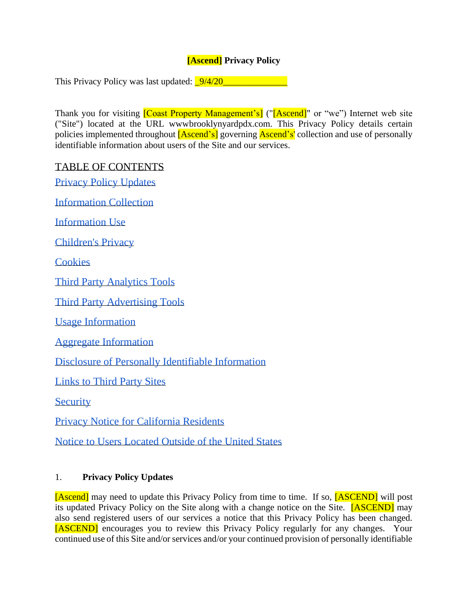# **[Ascend] Privacy Policy**

This Privacy Policy was last updated:  $\frac{9}{4/20}$ 

Thank you for visiting **[Coast Property Management's]** ("[Ascend]" or "we") Internet web site ("Site") located at the URL wwwbrooklynyardpdx.com. This Privacy Policy details certain policies implemented throughout **[Ascend's]** governing **Ascend's'** collection and use of personally identifiable information about users of the Site and our services.

## TABLE OF CONTENTS

[Privacy Policy Updates](#page-0-0)

[Information Collection](#page-1-0)

[Information Use](#page-1-1)

[Children's Privacy](#page-1-2)

**[Cookies](#page-1-3)** 

[Third Party Analytics Tools](#page-2-0)

[Third Party Advertising Tools](#page-2-1)

[Usage Information](#page-2-2)

[Aggregate Information](#page-3-0)

[Disclosure of Personally Identifiable Information](#page-3-1)

[Links to Third Party Sites](#page-3-2)

**[Security](#page-3-3)** 

[Privacy Notice for California Residents](#page-3-4)

[Notice to Users Located Outside of the United States](#page-9-0)

### <span id="page-0-0"></span>1. **Privacy Policy Updates**

[Ascend] may need to update this Privacy Policy from time to time. If so, [ASCEND] will post its updated Privacy Policy on the Site along with a change notice on the Site. [ASCEND] may also send registered users of our services a notice that this Privacy Policy has been changed. [ASCEND] encourages you to review this Privacy Policy regularly for any changes. Your continued use of this Site and/or services and/or your continued provision of personally identifiable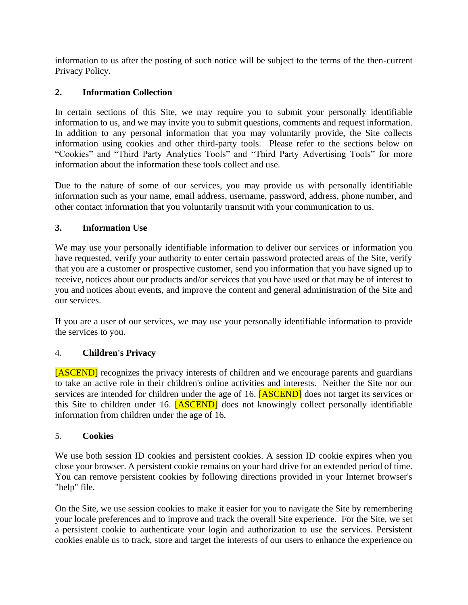information to us after the posting of such notice will be subject to the terms of the then-current Privacy Policy.

## <span id="page-1-0"></span>**2. Information Collection**

In certain sections of this Site, we may require you to submit your personally identifiable information to us, and we may invite you to submit questions, comments and request information. In addition to any personal information that you may voluntarily provide, the Site collects information using cookies and other third-party tools. Please refer to the sections below on "Cookies" and "Third Party Analytics Tools" and "Third Party Advertising Tools" for more information about the information these tools collect and use.

Due to the nature of some of our services, you may provide us with personally identifiable information such as your name, email address, username, password, address, phone number, and other contact information that you voluntarily transmit with your communication to us.

#### <span id="page-1-1"></span>**3. Information Use**

We may use your personally identifiable information to deliver our services or information you have requested, verify your authority to enter certain password protected areas of the Site, verify that you are a customer or prospective customer, send you information that you have signed up to receive, notices about our products and/or services that you have used or that may be of interest to you and notices about events, and improve the content and general administration of the Site and our services.

If you are a user of our services, we may use your personally identifiable information to provide the services to you.

### <span id="page-1-2"></span>4. **Children's Privacy**

[ASCEND] recognizes the privacy interests of children and we encourage parents and guardians to take an active role in their children's online activities and interests. Neither the Site nor our services are intended for children under the age of 16. **[ASCEND]** does not target its services or this Site to children under 16. [ASCEND] does not knowingly collect personally identifiable information from children under the age of 16.

#### <span id="page-1-3"></span>5. **Cookies**

We use both session ID cookies and persistent cookies. A session ID cookie expires when you close your browser. A persistent cookie remains on your hard drive for an extended period of time. You can remove persistent cookies by following directions provided in your Internet browser's "help" file.

On the Site, we use session cookies to make it easier for you to navigate the Site by remembering your locale preferences and to improve and track the overall Site experience. For the Site, we set a persistent cookie to authenticate your login and authorization to use the services. Persistent cookies enable us to track, store and target the interests of our users to enhance the experience on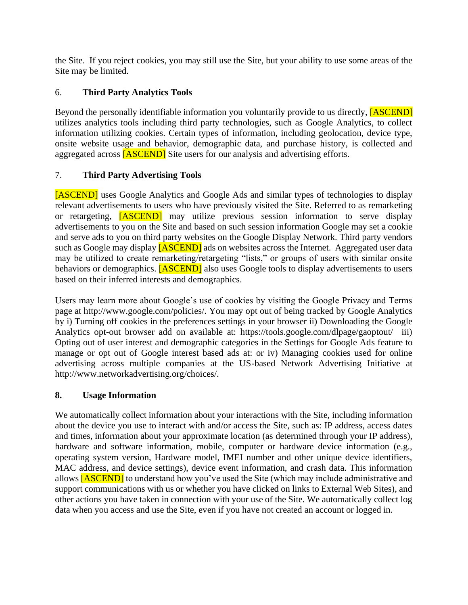the Site. If you reject cookies, you may still use the Site, but your ability to use some areas of the Site may be limited.

## <span id="page-2-0"></span>6. **Third Party Analytics Tools**

Beyond the personally identifiable information you voluntarily provide to us directly, **[ASCEND]** utilizes analytics tools including third party technologies, such as Google Analytics, to collect information utilizing cookies. Certain types of information, including geolocation, device type, onsite website usage and behavior, demographic data, and purchase history, is collected and aggregated across [ASCEND] Site users for our analysis and advertising efforts.

## <span id="page-2-1"></span>7. **Third Party Advertising Tools**

[ASCEND] uses Google Analytics and Google Ads and similar types of technologies to display relevant advertisements to users who have previously visited the Site. Referred to as remarketing or retargeting, [ASCEND] may utilize previous session information to serve display advertisements to you on the Site and based on such session information Google may set a cookie and serve ads to you on third party websites on the Google Display Network. Third party vendors such as Google may display **[ASCEND]** ads on websites across the Internet. Aggregated user data may be utilized to create remarketing/retargeting "lists," or groups of users with similar onsite behaviors or demographics. **[ASCEND]** also uses Google tools to display advertisements to users based on their inferred interests and demographics.

Users may learn more about Google's use of cookies by visiting the Google Privacy and Terms page at http://www.google.com/policies/. You may opt out of being tracked by Google Analytics by i) Turning off cookies in the preferences settings in your browser ii) Downloading the Google Analytics opt-out browser add on available at: https://tools.google.com/dlpage/gaoptout/ iii) Opting out of user interest and demographic categories in the Settings for Google Ads feature to manage or opt out of Google interest based ads at: or iv) Managing cookies used for online advertising across multiple companies at the US-based Network Advertising Initiative at http://www.networkadvertising.org/choices/.

# <span id="page-2-2"></span>**8. Usage Information**

We automatically collect information about your interactions with the Site, including information about the device you use to interact with and/or access the Site, such as: IP address, access dates and times, information about your approximate location (as determined through your IP address), hardware and software information, mobile, computer or hardware device information (e.g., operating system version, Hardware model, IMEI number and other unique device identifiers, MAC address, and device settings), device event information, and crash data. This information allows **[ASCEND]** to understand how you've used the Site (which may include administrative and support communications with us or whether you have clicked on links to External Web Sites), and other actions you have taken in connection with your use of the Site. We automatically collect log data when you access and use the Site, even if you have not created an account or logged in.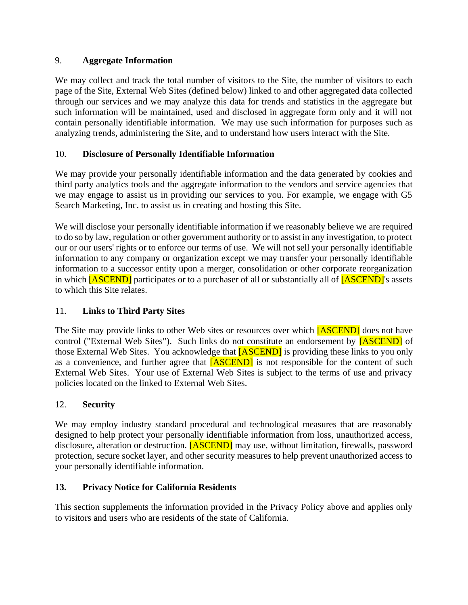### <span id="page-3-0"></span>9. **Aggregate Information**

We may collect and track the total number of visitors to the Site, the number of visitors to each page of the Site, External Web Sites (defined below) linked to and other aggregated data collected through our services and we may analyze this data for trends and statistics in the aggregate but such information will be maintained, used and disclosed in aggregate form only and it will not contain personally identifiable information. We may use such information for purposes such as analyzing trends, administering the Site, and to understand how users interact with the Site.

## <span id="page-3-1"></span>10. **Disclosure of Personally Identifiable Information**

We may provide your personally identifiable information and the data generated by cookies and third party analytics tools and the aggregate information to the vendors and service agencies that we may engage to assist us in providing our services to you. For example, we engage with G5 Search Marketing, Inc. to assist us in creating and hosting this Site.

We will disclose your personally identifiable information if we reasonably believe we are required to do so by law, regulation or other government authority or to assist in any investigation, to protect our or our users' rights or to enforce our terms of use. We will not sell your personally identifiable information to any company or organization except we may transfer your personally identifiable information to a successor entity upon a merger, consolidation or other corporate reorganization in which **[ASCEND]** participates or to a purchaser of all or substantially all of **[ASCEND]**'s assets to which this Site relates.

# <span id="page-3-2"></span>11. **Links to Third Party Sites**

The Site may provide links to other Web sites or resources over which [ASCEND] does not have control ("External Web Sites"). Such links do not constitute an endorsement by [ASCEND] of those External Web Sites. You acknowledge that **[ASCEND]** is providing these links to you only as a convenience, and further agree that **[ASCEND]** is not responsible for the content of such External Web Sites. Your use of External Web Sites is subject to the terms of use and privacy policies located on the linked to External Web Sites.

### <span id="page-3-3"></span>12. **Security**

We may employ industry standard procedural and technological measures that are reasonably designed to help protect your personally identifiable information from loss, unauthorized access, disclosure, alteration or destruction. **[ASCEND]** may use, without limitation, firewalls, password protection, secure socket layer, and other security measures to help prevent unauthorized access to your personally identifiable information.

# <span id="page-3-4"></span>**13. Privacy Notice for California Residents**

This section supplements the information provided in the Privacy Policy above and applies only to visitors and users who are residents of the state of California.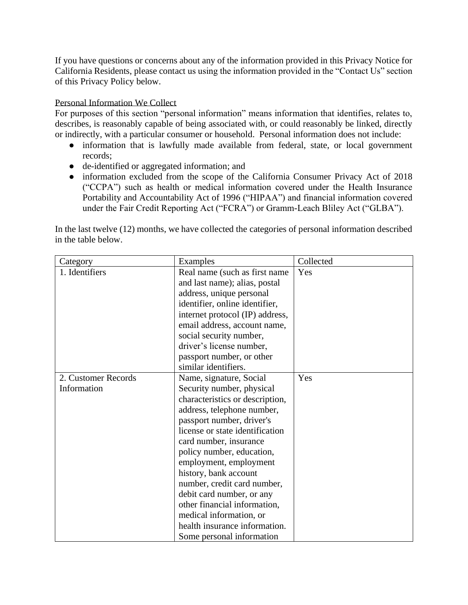If you have questions or concerns about any of the information provided in this Privacy Notice for California Residents, please contact us using the information provided in the "Contact Us" section of this Privacy Policy below.

#### Personal Information We Collect

For purposes of this section "personal information" means information that identifies, relates to, describes, is reasonably capable of being associated with, or could reasonably be linked, directly or indirectly, with a particular consumer or household. Personal information does not include:

- information that is lawfully made available from federal, state, or local government records;
- de-identified or aggregated information; and
- information excluded from the scope of the California Consumer Privacy Act of 2018 ("CCPA") such as health or medical information covered under the Health Insurance Portability and Accountability Act of 1996 ("HIPAA") and financial information covered under the Fair Credit Reporting Act ("FCRA") or Gramm-Leach Bliley Act ("GLBA").

In the last twelve (12) months, we have collected the categories of personal information described in the table below.

| Category            | Examples                        | Collected |
|---------------------|---------------------------------|-----------|
| 1. Identifiers      | Real name (such as first name)  | Yes       |
|                     | and last name); alias, postal   |           |
|                     | address, unique personal        |           |
|                     | identifier, online identifier,  |           |
|                     | internet protocol (IP) address, |           |
|                     | email address, account name,    |           |
|                     | social security number,         |           |
|                     | driver's license number,        |           |
|                     | passport number, or other       |           |
|                     | similar identifiers.            |           |
| 2. Customer Records | Name, signature, Social         | Yes       |
| Information         | Security number, physical       |           |
|                     | characteristics or description, |           |
|                     | address, telephone number,      |           |
|                     | passport number, driver's       |           |
|                     | license or state identification |           |
|                     | card number, insurance          |           |
|                     | policy number, education,       |           |
|                     | employment, employment          |           |
|                     | history, bank account           |           |
|                     | number, credit card number,     |           |
|                     | debit card number, or any       |           |
|                     | other financial information,    |           |
|                     | medical information, or         |           |
|                     | health insurance information.   |           |
|                     | Some personal information       |           |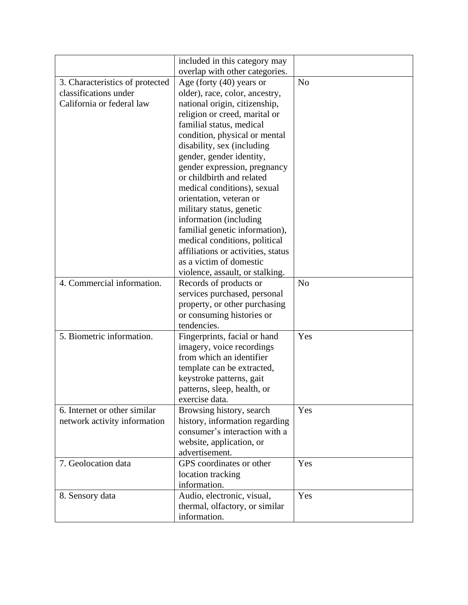|                                 | included in this category may      |                |
|---------------------------------|------------------------------------|----------------|
|                                 | overlap with other categories.     |                |
| 3. Characteristics of protected | Age (forty $(40)$ years or         | N <sub>o</sub> |
| classifications under           | older), race, color, ancestry,     |                |
| California or federal law       | national origin, citizenship,      |                |
|                                 | religion or creed, marital or      |                |
|                                 | familial status, medical           |                |
|                                 | condition, physical or mental      |                |
|                                 | disability, sex (including         |                |
|                                 | gender, gender identity,           |                |
|                                 | gender expression, pregnancy       |                |
|                                 | or childbirth and related          |                |
|                                 | medical conditions), sexual        |                |
|                                 | orientation, veteran or            |                |
|                                 | military status, genetic           |                |
|                                 | information (including             |                |
|                                 | familial genetic information),     |                |
|                                 | medical conditions, political      |                |
|                                 | affiliations or activities, status |                |
|                                 | as a victim of domestic            |                |
|                                 | violence, assault, or stalking.    |                |
| 4. Commercial information.      | Records of products or             | N <sub>o</sub> |
|                                 | services purchased, personal       |                |
|                                 | property, or other purchasing      |                |
|                                 | or consuming histories or          |                |
|                                 | tendencies.                        |                |
| 5. Biometric information.       | Fingerprints, facial or hand       | Yes            |
|                                 | imagery, voice recordings          |                |
|                                 | from which an identifier           |                |
|                                 | template can be extracted,         |                |
|                                 | keystroke patterns, gait           |                |
|                                 | patterns, sleep, health, or        |                |
|                                 | exercise data.                     |                |
| 6. Internet or other similar    | Browsing history, search           | Yes            |
| network activity information    | history, information regarding     |                |
|                                 | consumer's interaction with a      |                |
|                                 | website, application, or           |                |
|                                 | advertisement.                     |                |
| 7. Geolocation data             | GPS coordinates or other           | Yes            |
|                                 | location tracking                  |                |
|                                 | information.                       |                |
| 8. Sensory data                 | Audio, electronic, visual,         | Yes            |
|                                 | thermal, olfactory, or similar     |                |
|                                 | information.                       |                |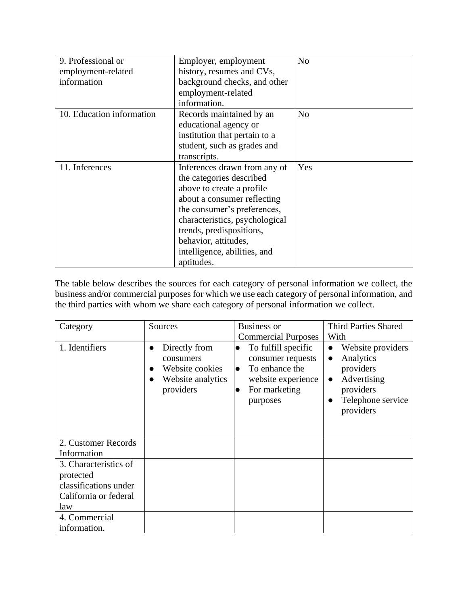| 9. Professional or        | Employer, employment           | N <sub>o</sub> |
|---------------------------|--------------------------------|----------------|
| employment-related        | history, resumes and CVs,      |                |
| information               | background checks, and other   |                |
|                           | employment-related             |                |
|                           | information.                   |                |
| 10. Education information | Records maintained by an       | N <sub>0</sub> |
|                           | educational agency or          |                |
|                           | institution that pertain to a  |                |
|                           | student, such as grades and    |                |
|                           | transcripts.                   |                |
| 11. Inferences            | Inferences drawn from any of   | Yes            |
|                           | the categories described       |                |
|                           | above to create a profile.     |                |
|                           | about a consumer reflecting    |                |
|                           | the consumer's preferences,    |                |
|                           | characteristics, psychological |                |
|                           | trends, predispositions,       |                |
|                           | behavior, attitudes,           |                |
|                           | intelligence, abilities, and   |                |
|                           | aptitudes.                     |                |

The table below describes the sources for each category of personal information we collect, the business and/or commercial purposes for which we use each category of personal information, and the third parties with whom we share each category of personal information we collect.

| Category                                                                                    | Sources                                                                                      | <b>Business or</b>                                                                                                                                   | <b>Third Parties Shared</b>                                                                                                                      |
|---------------------------------------------------------------------------------------------|----------------------------------------------------------------------------------------------|------------------------------------------------------------------------------------------------------------------------------------------------------|--------------------------------------------------------------------------------------------------------------------------------------------------|
|                                                                                             |                                                                                              | <b>Commercial Purposes</b>                                                                                                                           | With                                                                                                                                             |
| 1. Identifiers                                                                              | Directly from<br>$\bullet$<br>consumers<br>Website cookies<br>Website analytics<br>providers | To fulfill specific<br>$\bullet$<br>consumer requests<br>To enhance the<br>$\bullet$<br>website experience<br>For marketing<br>$\bullet$<br>purposes | Website providers<br>$\bullet$<br>Analytics<br>$\bullet$<br>providers<br>Advertising<br>$\bullet$<br>providers<br>Telephone service<br>providers |
| 2. Customer Records<br>Information                                                          |                                                                                              |                                                                                                                                                      |                                                                                                                                                  |
| 3. Characteristics of<br>protected<br>classifications under<br>California or federal<br>law |                                                                                              |                                                                                                                                                      |                                                                                                                                                  |
| 4. Commercial<br>information.                                                               |                                                                                              |                                                                                                                                                      |                                                                                                                                                  |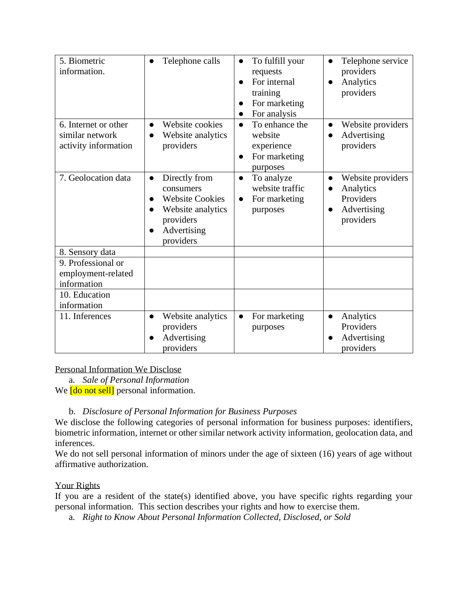| 5. Biometric<br>information.                                    | Telephone calls                                                                                                                      | To fulfill your<br>$\bullet$<br>requests<br>For internal<br>training<br>For marketing<br>For analysis | Telephone service<br>$\bullet$<br>providers<br>Analytics<br>providers                             |
|-----------------------------------------------------------------|--------------------------------------------------------------------------------------------------------------------------------------|-------------------------------------------------------------------------------------------------------|---------------------------------------------------------------------------------------------------|
| 6. Internet or other<br>similar network<br>activity information | Website cookies<br>$\bullet$<br>Website analytics<br>$\bullet$<br>providers                                                          | To enhance the<br>$\bullet$<br>website<br>experience<br>For marketing<br>purposes                     | Website providers<br>$\bullet$<br>Advertising<br>providers                                        |
| 7. Geolocation data                                             | Directly from<br>$\bullet$<br>consumers<br><b>Website Cookies</b><br>Website analytics<br>●<br>providers<br>Advertising<br>providers | To analyze<br>$\bullet$<br>website traffic<br>For marketing<br>purposes                               | Website providers<br>$\bullet$<br>Analytics<br>$\bullet$<br>Providers<br>Advertising<br>providers |
| 8. Sensory data                                                 |                                                                                                                                      |                                                                                                       |                                                                                                   |
| 9. Professional or<br>employment-related<br>information         |                                                                                                                                      |                                                                                                       |                                                                                                   |
| 10. Education<br>information                                    |                                                                                                                                      |                                                                                                       |                                                                                                   |
| 11. Inferences                                                  | Website analytics<br>$\bullet$<br>providers<br>Advertising<br>providers                                                              | For marketing<br>$\bullet$<br>purposes                                                                | Analytics<br>$\bullet$<br>Providers<br>Advertising<br>providers                                   |

### Personal Information We Disclose

a. *Sale of Personal Information*

We **[do not sell]** personal information.

# b. *Disclosure of Personal Information for Business Purposes*

We disclose the following categories of personal information for business purposes: identifiers, biometric information, internet or other similar network activity information, geolocation data, and inferences.

We do not sell personal information of minors under the age of sixteen (16) years of age without affirmative authorization.

### Your Rights

If you are a resident of the state(s) identified above, you have specific rights regarding your personal information. This section describes your rights and how to exercise them.

a. *Right to Know About Personal Information Collected, Disclosed, or Sold*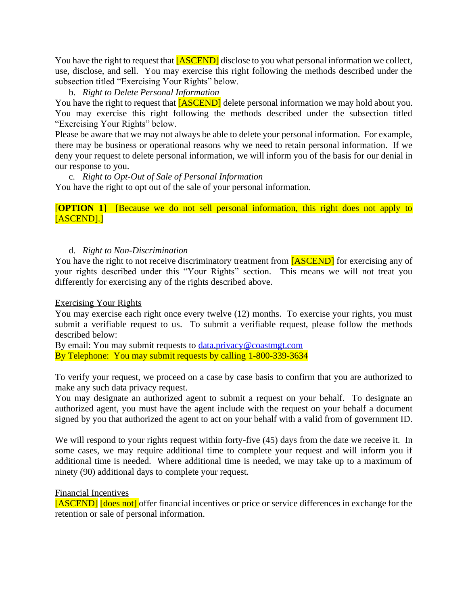You have the right to request that **[ASCEND]** disclose to you what personal information we collect, use, disclose, and sell. You may exercise this right following the methods described under the subsection titled "Exercising Your Rights" below.

b. *Right to Delete Personal Information*

You have the right to request that **[ASCEND]** delete personal information we may hold about you. You may exercise this right following the methods described under the subsection titled "Exercising Your Rights" below.

Please be aware that we may not always be able to delete your personal information. For example, there may be business or operational reasons why we need to retain personal information. If we deny your request to delete personal information, we will inform you of the basis for our denial in our response to you.

c. *Right to Opt-Out of Sale of Personal Information* You have the right to opt out of the sale of your personal information.

[**OPTION 1**] [Because we do not sell personal information, this right does not apply to [ASCEND].]

#### d. *Right to Non-Discrimination*

You have the right to not receive discriminatory treatment from [ASCEND] for exercising any of your rights described under this "Your Rights" section. This means we will not treat you differently for exercising any of the rights described above.

#### Exercising Your Rights

You may exercise each right once every twelve (12) months. To exercise your rights, you must submit a verifiable request to us. To submit a verifiable request, please follow the methods described below:

By email: You may submit requests to [data.privacy@coastmgt.com](mailto:data.privacy@coastmgt.com) By Telephone: You may submit requests by calling 1-800-339-3634

To verify your request, we proceed on a case by case basis to confirm that you are authorized to make any such data privacy request.

You may designate an authorized agent to submit a request on your behalf. To designate an authorized agent, you must have the agent include with the request on your behalf a document signed by you that authorized the agent to act on your behalf with a valid from of government ID.

We will respond to your rights request within forty-five  $(45)$  days from the date we receive it. In some cases, we may require additional time to complete your request and will inform you if additional time is needed. Where additional time is needed, we may take up to a maximum of ninety (90) additional days to complete your request.

#### Financial Incentives

[ASCEND] [does not] offer financial incentives or price or service differences in exchange for the retention or sale of personal information.